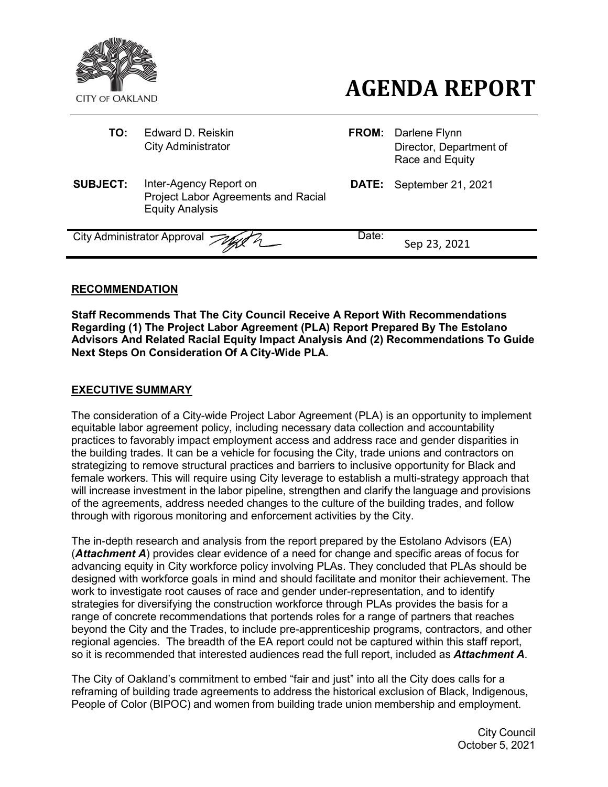

- **TO:** Edward D. Reiskin **FROM:** Darlene Flynn
- **AGENDA REPORT**
- City Administrator **Director**, Department of Race and Equity
- **SUBJECT:** Inter-Agency Report on Project Labor Agreements and Racial Equity Analysis
- **DATE:** September 21, 2021

City Administrator Approval *Tage R* Date: Sep 23, 2021

# **RECOMMENDATION**

**Staff Recommends That The City Council Receive A Report With Recommendations Regarding (1) The Project Labor Agreement (PLA) Report Prepared By The Estolano Advisors And Related Racial Equity Impact Analysis And (2) Recommendations To Guide Next Steps On Consideration Of A City-Wide PLA.**

## **EXECUTIVE SUMMARY**

The consideration of a City-wide Project Labor Agreement (PLA) is an opportunity to implement equitable labor agreement policy, including necessary data collection and accountability practices to favorably impact employment access and address race and gender disparities in the building trades. It can be a vehicle for focusing the City, trade unions and contractors on strategizing to remove structural practices and barriers to inclusive opportunity for Black and female workers. This will require using City leverage to establish a multi-strategy approach that will increase investment in the labor pipeline, strengthen and clarify the language and provisions of the agreements, address needed changes to the culture of the building trades, and follow through with rigorous monitoring and enforcement activities by the City.

The in-depth research and analysis from the report prepared by the Estolano Advisors (EA) (*Attachment A*) provides clear evidence of a need for change and specific areas of focus for advancing equity in City workforce policy involving PLAs. They concluded that PLAs should be designed with workforce goals in mind and should facilitate and monitor their achievement. The work to investigate root causes of race and gender under-representation, and to identify strategies for diversifying the construction workforce through PLAs provides the basis for a range of concrete recommendations that portends roles for a range of partners that reaches beyond the City and the Trades, to include pre-apprenticeship programs, contractors, and other regional agencies. The breadth of the EA report could not be captured within this staff report, so it is recommended that interested audiences read the full report, included as *Attachment A*.

The City of Oakland's commitment to embed "fair and just" into all the City does calls for a reframing of building trade agreements to address the historical exclusion of Black, Indigenous, People of Color (BIPOC) and women from building trade union membership and employment.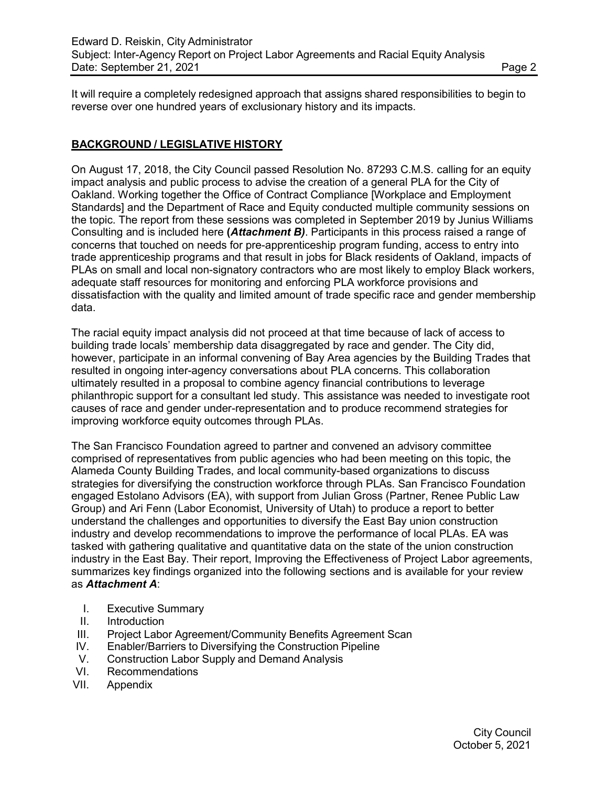It will require a completely redesigned approach that assigns shared responsibilities to begin to reverse over one hundred years of exclusionary history and its impacts.

# **BACKGROUND / LEGISLATIVE HISTORY**

On August 17, 2018, the City Council passed Resolution No. 87293 C.M.S. calling for an equity impact analysis and public process to advise the creation of a general PLA for the City of Oakland. Working together the Office of Contract Compliance [Workplace and Employment Standards] and the Department of Race and Equity conducted multiple community sessions on the topic. The report from these sessions was completed in September 2019 by Junius Williams Consulting and is included here **(***Attachment B)*. Participants in this process raised a range of concerns that touched on needs for pre-apprenticeship program funding, access to entry into trade apprenticeship programs and that result in jobs for Black residents of Oakland, impacts of PLAs on small and local non-signatory contractors who are most likely to employ Black workers, adequate staff resources for monitoring and enforcing PLA workforce provisions and dissatisfaction with the quality and limited amount of trade specific race and gender membership data.

The racial equity impact analysis did not proceed at that time because of lack of access to building trade locals' membership data disaggregated by race and gender. The City did, however, participate in an informal convening of Bay Area agencies by the Building Trades that resulted in ongoing inter-agency conversations about PLA concerns. This collaboration ultimately resulted in a proposal to combine agency financial contributions to leverage philanthropic support for a consultant led study. This assistance was needed to investigate root causes of race and gender under-representation and to produce recommend strategies for improving workforce equity outcomes through PLAs.

The San Francisco Foundation agreed to partner and convened an advisory committee comprised of representatives from public agencies who had been meeting on this topic, the Alameda County Building Trades, and local community-based organizations to discuss strategies for diversifying the construction workforce through PLAs. San Francisco Foundation engaged Estolano Advisors (EA), with support from Julian Gross (Partner, Renee Public Law Group) and Ari Fenn (Labor Economist, University of Utah) to produce a report to better understand the challenges and opportunities to diversify the East Bay union construction industry and develop recommendations to improve the performance of local PLAs. EA was tasked with gathering qualitative and quantitative data on the state of the union construction industry in the East Bay. Their report, Improving the Effectiveness of Project Labor agreements, summarizes key findings organized into the following sections and is available for your review as *Attachment A*:

- I. Executive Summary
- II. Introduction
- III. Project Labor Agreement/Community Benefits Agreement Scan
- IV. Enabler/Barriers to Diversifying the Construction Pipeline
- V. Construction Labor Supply and Demand Analysis
- VI. Recommendations
- VII. Appendix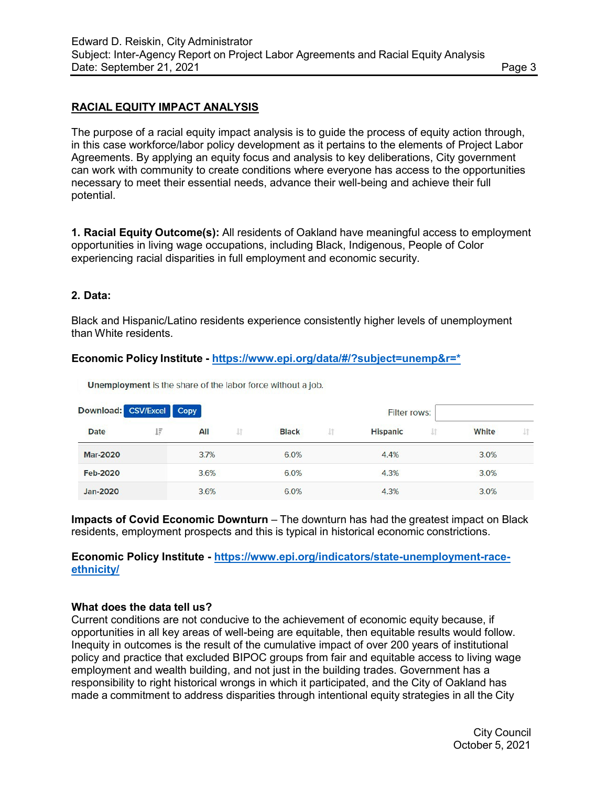# **RACIAL EQUITY IMPACT ANALYSIS**

The purpose of a racial equity impact analysis is to guide the process of equity action through, in this case workforce/labor policy development as it pertains to the elements of Project Labor Agreements. By applying an equity focus and analysis to key deliberations, City government can work with community to create conditions where everyone has access to the opportunities necessary to meet their essential needs, advance their well-being and achieve their full potential.

**1. Racial Equity Outcome(s):** All residents of Oakland have meaningful access to employment opportunities in living wage occupations, including Black, Indigenous, People of Color experiencing racial disparities in full employment and economic security.

#### **2. Data:**

Black and Hispanic/Latino residents experience consistently higher levels of unemployment than White residents.

#### **Economic Policy Institute - [https://www.epi.org/data/#/?subject=unemp&r=\\*](https://www.epi.org/data/%23/?subject=unemp&r=%2A)**

| Download: CSV/Excel Copy |    |      |    |              |    | Filter rows:    |    |       |  |
|--------------------------|----|------|----|--------------|----|-----------------|----|-------|--|
| <b>Date</b>              | ĮΞ | All  | J1 | <b>Black</b> | 1î | <b>Hispanic</b> | 1Ť | White |  |
| <b>Mar-2020</b>          |    | 3.7% |    | 6.0%         |    | 4.4%            |    | 3.0%  |  |
| <b>Feb-2020</b>          |    | 3.6% |    | 6.0%         |    | 4.3%            |    | 3.0%  |  |
| Jan-2020                 |    | 3.6% |    | 6.0%         |    | 4.3%            |    | 3.0%  |  |

Unemployment is the share of the labor force without a job.

**Impacts of Covid Economic Downturn** – The downturn has had the greatest impact on Black residents, employment prospects and this is typical in historical economic constrictions.

#### **Economic Policy Institute - [https://www.epi.org/indicators/state-unemployment-race](https://www.epi.org/indicators/state-unemployment-race-ethnicity/)[ethnicity/](https://www.epi.org/indicators/state-unemployment-race-ethnicity/)**

#### **What does the data tell us?**

Current conditions are not conducive to the achievement of economic equity because, if opportunities in all key areas of well-being are equitable, then equitable results would follow. Inequity in outcomes is the result of the cumulative impact of over 200 years of institutional policy and practice that excluded BIPOC groups from fair and equitable access to living wage employment and wealth building, and not just in the building trades. Government has a responsibility to right historical wrongs in which it participated, and the City of Oakland has made a commitment to address disparities through intentional equity strategies in all the City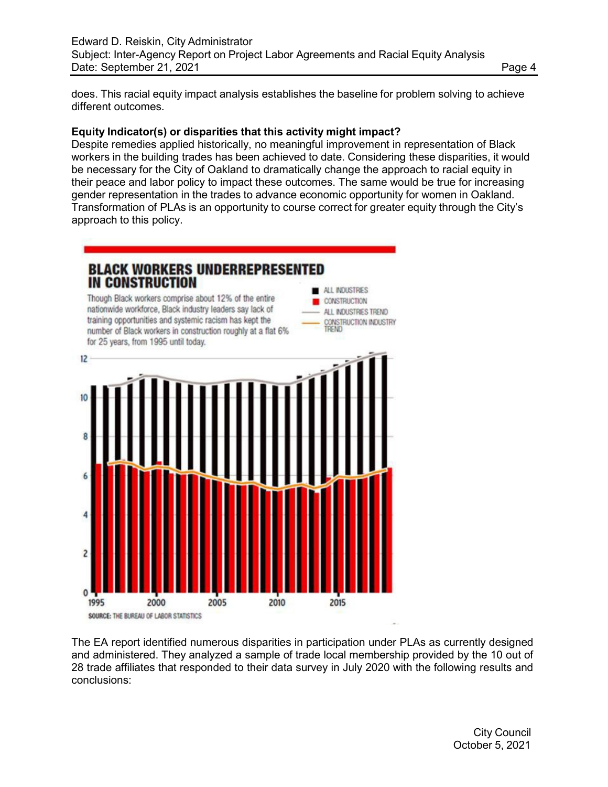does. This racial equity impact analysis establishes the baseline for problem solving to achieve different outcomes.

#### **Equity Indicator(s) or disparities that this activity might impact?**

Despite remedies applied historically, no meaningful improvement in representation of Black workers in the building trades has been achieved to date. Considering these disparities, it would be necessary for the City of Oakland to dramatically change the approach to racial equity in their peace and labor policy to impact these outcomes. The same would be true for increasing gender representation in the trades to advance economic opportunity for women in Oakland. Transformation of PLAs is an opportunity to course correct for greater equity through the City's approach to this policy.



The EA report identified numerous disparities in participation under PLAs as currently designed and administered. They analyzed a sample of trade local membership provided by the 10 out of 28 trade affiliates that responded to their data survey in July 2020 with the following results and conclusions: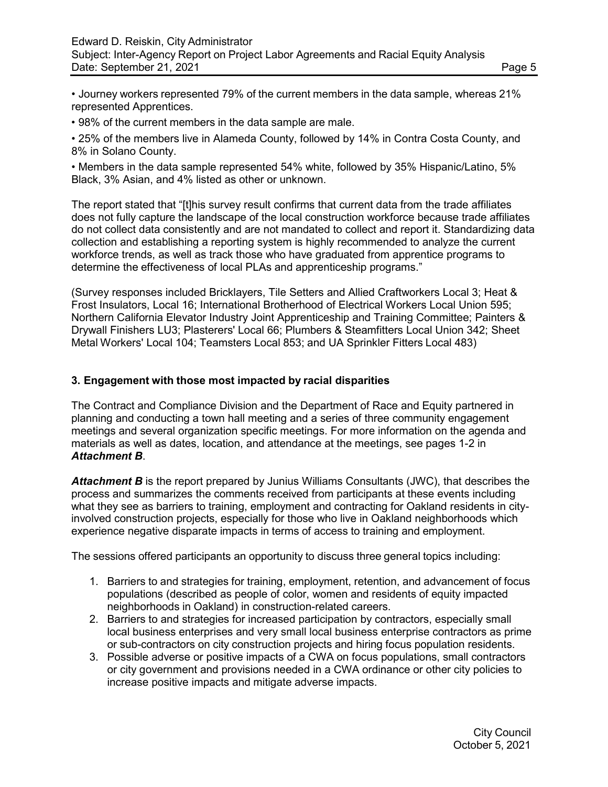• Journey workers represented 79% of the current members in the data sample, whereas 21% represented Apprentices.

• 98% of the current members in the data sample are male.

• 25% of the members live in Alameda County, followed by 14% in Contra Costa County, and 8% in Solano County.

• Members in the data sample represented 54% white, followed by 35% Hispanic/Latino, 5% Black, 3% Asian, and 4% listed as other or unknown.

The report stated that "[t]his survey result confirms that current data from the trade affiliates does not fully capture the landscape of the local construction workforce because trade affiliates do not collect data consistently and are not mandated to collect and report it. Standardizing data collection and establishing a reporting system is highly recommended to analyze the current workforce trends, as well as track those who have graduated from apprentice programs to determine the effectiveness of local PLAs and apprenticeship programs."

(Survey responses included Bricklayers, Tile Setters and Allied Craftworkers Local 3; Heat & Frost Insulators, Local 16; International Brotherhood of Electrical Workers Local Union 595; Northern California Elevator Industry Joint Apprenticeship and Training Committee; Painters & Drywall Finishers LU3; Plasterers' Local 66; Plumbers & Steamfitters Local Union 342; Sheet Metal Workers' Local 104; Teamsters Local 853; and UA Sprinkler Fitters Local 483)

# **3. Engagement with those most impacted by racial disparities**

The Contract and Compliance Division and the Department of Race and Equity partnered in planning and conducting a town hall meeting and a series of three community engagement meetings and several organization specific meetings. For more information on the agenda and materials as well as dates, location, and attendance at the meetings, see pages 1-2 in *Attachment B*.

Attachment B is the report prepared by Junius Williams Consultants (JWC), that describes the process and summarizes the comments received from participants at these events including what they see as barriers to training, employment and contracting for Oakland residents in cityinvolved construction projects, especially for those who live in Oakland neighborhoods which experience negative disparate impacts in terms of access to training and employment.

The sessions offered participants an opportunity to discuss three general topics including:

- 1. Barriers to and strategies for training, employment, retention, and advancement of focus populations (described as people of color, women and residents of equity impacted neighborhoods in Oakland) in construction-related careers.
- 2. Barriers to and strategies for increased participation by contractors, especially small local business enterprises and very small local business enterprise contractors as prime or sub-contractors on city construction projects and hiring focus population residents.
- 3. Possible adverse or positive impacts of a CWA on focus populations, small contractors or city government and provisions needed in a CWA ordinance or other city policies to increase positive impacts and mitigate adverse impacts.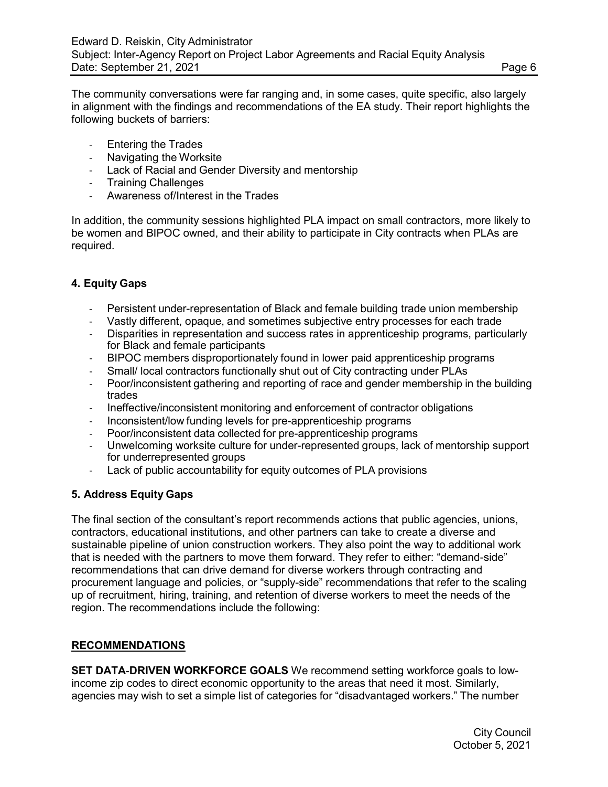The community conversations were far ranging and, in some cases, quite specific, also largely in alignment with the findings and recommendations of the EA study. Their report highlights the following buckets of barriers:

- Entering the Trades
- Navigating the Worksite
- Lack of Racial and Gender Diversity and mentorship
- Training Challenges
- Awareness of/Interest in the Trades

In addition, the community sessions highlighted PLA impact on small contractors, more likely to be women and BIPOC owned, and their ability to participate in City contracts when PLAs are required.

#### **4. Equity Gaps**

- Persistent under-representation of Black and female building trade union membership
- Vastly different, opaque, and sometimes subjective entry processes for each trade
- Disparities in representation and success rates in apprenticeship programs, particularly for Black and female participants
- BIPOC members disproportionately found in lower paid apprenticeship programs
- Small/ local contractors functionally shut out of City contracting under PLAs
- Poor/inconsistent gathering and reporting of race and gender membership in the building trades
- Ineffective/inconsistent monitoring and enforcement of contractor obligations
- Inconsistent/low funding levels for pre-apprenticeship programs
- Poor/inconsistent data collected for pre-apprenticeship programs
- Unwelcoming worksite culture for under-represented groups, lack of mentorship support for underrepresented groups
- Lack of public accountability for equity outcomes of PLA provisions

### **5. Address Equity Gaps**

The final section of the consultant's report recommends actions that public agencies, unions, contractors, educational institutions, and other partners can take to create a diverse and sustainable pipeline of union construction workers. They also point the way to additional work that is needed with the partners to move them forward. They refer to either: "demand-side" recommendations that can drive demand for diverse workers through contracting and procurement language and policies, or "supply-side" recommendations that refer to the scaling up of recruitment, hiring, training, and retention of diverse workers to meet the needs of the region. The recommendations include the following:

### **RECOMMENDATIONS**

**SET DATA**‑**DRIVEN WORKFORCE GOALS** We recommend setting workforce goals to lowincome zip codes to direct economic opportunity to the areas that need it most. Similarly, agencies may wish to set a simple list of categories for "disadvantaged workers." The number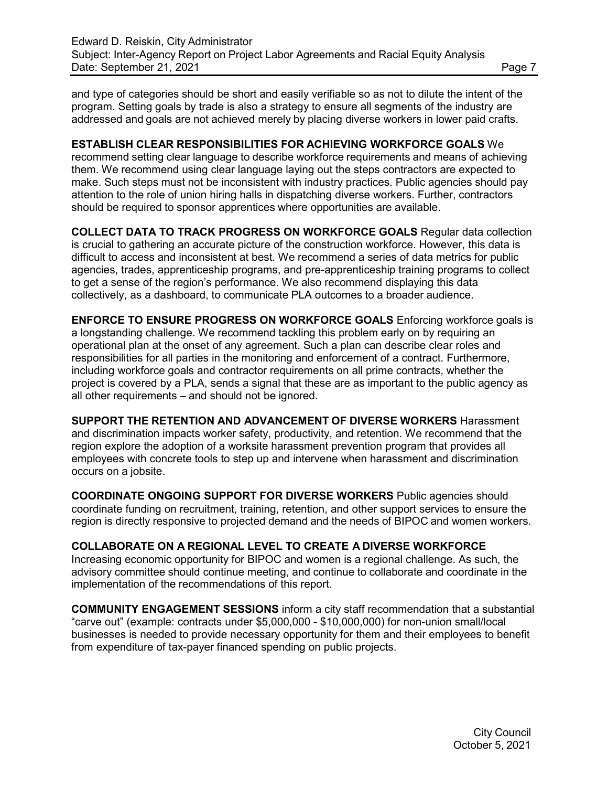and type of categories should be short and easily verifiable so as not to dilute the intent of the program. Setting goals by trade is also a strategy to ensure all segments of the industry are addressed and goals are not achieved merely by placing diverse workers in lower paid crafts.

### **ESTABLISH CLEAR RESPONSIBILITIES FOR ACHIEVING WORKFORCE GOALS** We

recommend setting clear language to describe workforce requirements and means of achieving them. We recommend using clear language laying out the steps contractors are expected to make. Such steps must not be inconsistent with industry practices. Public agencies should pay attention to the role of union hiring halls in dispatching diverse workers. Further, contractors should be required to sponsor apprentices where opportunities are available.

**COLLECT DATA TO TRACK PROGRESS ON WORKFORCE GOALS** Regular data collection is crucial to gathering an accurate picture of the construction workforce. However, this data is difficult to access and inconsistent at best. We recommend a series of data metrics for public agencies, trades, apprenticeship programs, and pre-apprenticeship training programs to collect to get a sense of the region's performance. We also recommend displaying this data collectively, as a dashboard, to communicate PLA outcomes to a broader audience.

**ENFORCE TO ENSURE PROGRESS ON WORKFORCE GOALS** Enforcing workforce goals is a longstanding challenge. We recommend tackling this problem early on by requiring an operational plan at the onset of any agreement. Such a plan can describe clear roles and responsibilities for all parties in the monitoring and enforcement of a contract. Furthermore, including workforce goals and contractor requirements on all prime contracts, whether the project is covered by a PLA, sends a signal that these are as important to the public agency as all other requirements – and should not be ignored.

**SUPPORT THE RETENTION AND ADVANCEMENT OF DIVERSE WORKERS** Harassment and discrimination impacts worker safety, productivity, and retention. We recommend that the region explore the adoption of a worksite harassment prevention program that provides all employees with concrete tools to step up and intervene when harassment and discrimination occurs on a jobsite.

**COORDINATE ONGOING SUPPORT FOR DIVERSE WORKERS** Public agencies should coordinate funding on recruitment, training, retention, and other support services to ensure the region is directly responsive to projected demand and the needs of BIPOC and women workers.

### **COLLABORATE ON A REGIONAL LEVEL TO CREATE A DIVERSE WORKFORCE**

Increasing economic opportunity for BIPOC and women is a regional challenge. As such, the advisory committee should continue meeting, and continue to collaborate and coordinate in the implementation of the recommendations of this report.

**COMMUNITY ENGAGEMENT SESSIONS** inform a city staff recommendation that a substantial "carve out" (example: contracts under \$5,000,000 - \$10,000,000) for non-union small/local businesses is needed to provide necessary opportunity for them and their employees to benefit from expenditure of tax-payer financed spending on public projects.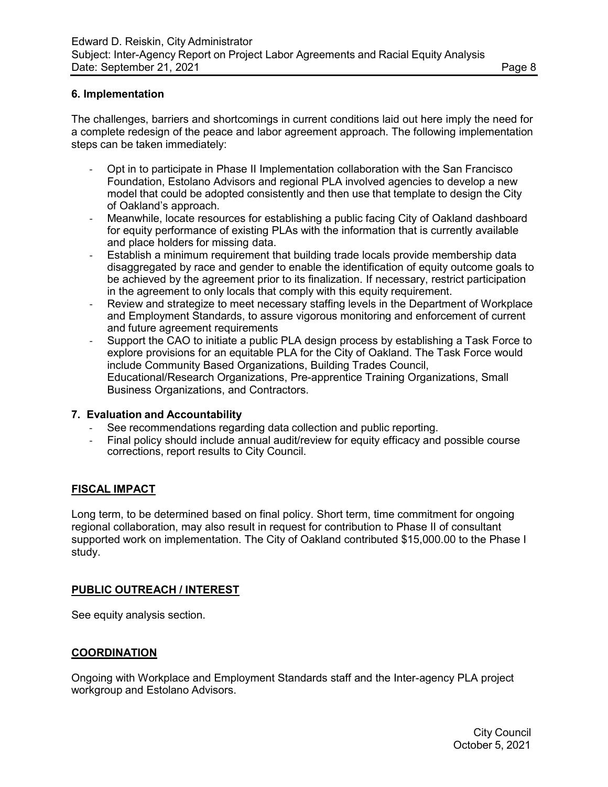### **6. Implementation**

The challenges, barriers and shortcomings in current conditions laid out here imply the need for a complete redesign of the peace and labor agreement approach. The following implementation steps can be taken immediately:

- Opt in to participate in Phase II Implementation collaboration with the San Francisco Foundation, Estolano Advisors and regional PLA involved agencies to develop a new model that could be adopted consistently and then use that template to design the City of Oakland's approach.
- Meanwhile, locate resources for establishing a public facing City of Oakland dashboard for equity performance of existing PLAs with the information that is currently available and place holders for missing data.
- Establish a minimum requirement that building trade locals provide membership data disaggregated by race and gender to enable the identification of equity outcome goals to be achieved by the agreement prior to its finalization. If necessary, restrict participation in the agreement to only locals that comply with this equity requirement.
- Review and strategize to meet necessary staffing levels in the Department of Workplace and Employment Standards, to assure vigorous monitoring and enforcement of current and future agreement requirements
- Support the CAO to initiate a public PLA design process by establishing a Task Force to explore provisions for an equitable PLA for the City of Oakland. The Task Force would include Community Based Organizations, Building Trades Council, Educational/Research Organizations, Pre-apprentice Training Organizations, Small Business Organizations, and Contractors.

#### **7. Evaluation and Accountability**

- See recommendations regarding data collection and public reporting.
- Final policy should include annual audit/review for equity efficacy and possible course corrections, report results to City Council.

### **FISCAL IMPACT**

Long term, to be determined based on final policy. Short term, time commitment for ongoing regional collaboration, may also result in request for contribution to Phase II of consultant supported work on implementation. The City of Oakland contributed \$15,000.00 to the Phase I study.

### **PUBLIC OUTREACH / INTEREST**

See equity analysis section.

### **COORDINATION**

Ongoing with Workplace and Employment Standards staff and the Inter-agency PLA project workgroup and Estolano Advisors.